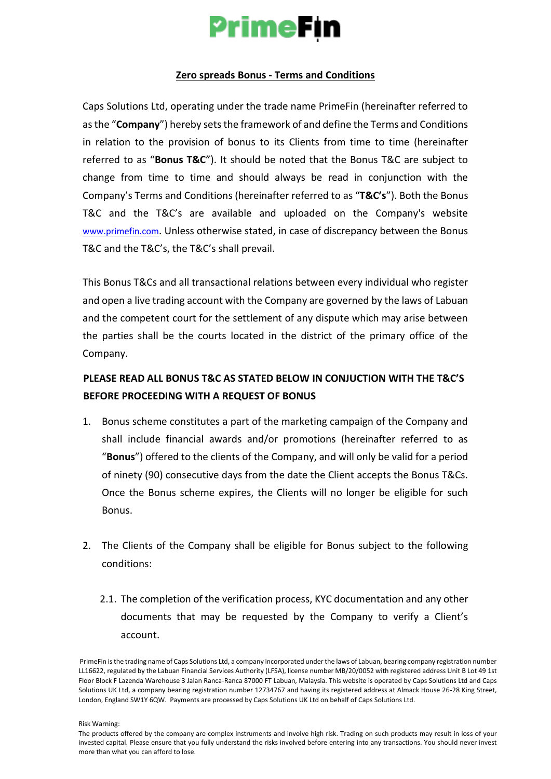# **PrimeFin**

#### **Zero spreads Bonus - Terms and Conditions**

Caps Solutions Ltd, operating under the trade name PrimeFin (hereinafter referred to as the "**Company**") hereby sets the framework of and define the Terms and Conditions in relation to the provision of bonus to its Clients from time to time (hereinafter referred to as "**Bonus T&C**"). It should be noted that the Bonus T&C are subject to change from time to time and should always be read in conjunction with the Company's Terms and Conditions (hereinafter referred to as "**T&C's**"). Both the Bonus T&C and the T&C's are available and uploaded on the Company's website [www.primefin.co](http://www.primefin.com/)[m](https://content-za.markets.com/pdf/en/terms-and-conditions-for-incentives-and-loyalty-awards.pdf)[. Un](https://content-za.markets.com/pdf/en/terms-and-conditions-for-incentives-and-loyalty-awards.pdf)less otherwise stated, in case of discrepancy between the Bonus T&C and the T&C's, the T&C's shall prevail.

This Bonus T&Cs and all transactional relations between every individual who register and open a live trading account with the Company are governed by the laws of Labuan and the competent court for the settlement of any dispute which may arise between the parties shall be the courts located in the district of the primary office of the Company.

### **PLEASE READ ALL BONUS T&C AS STATED BELOW IN CONJUCTION WITH THE T&C'S BEFORE PROCEEDING WITH A REQUEST OF BONUS**

- 1. Bonus scheme constitutes a part of the marketing campaign of the Company and shall include financial awards and/or promotions (hereinafter referred to as "**Bonus**") offered to the clients of the Company, and will only be valid for a period of ninety (90) consecutive days from the date the Client accepts the Bonus T&Cs. Once the Bonus scheme expires, the Clients will no longer be eligible for such Bonus.
- 2. The Clients of the Company shall be eligible for Bonus subject to the following conditions:
	- 2.1. The completion of the verification process, KYC documentation and any other documents that may be requested by the Company to verify a Client's account.

Risk Warning:

PrimeFin is the trading name of Caps Solutions Ltd, a company incorporated under the laws of Labuan, bearing company registration number LL16622, regulated by the Labuan Financial Services Authority (LFSA), license number MB/20/0052 with registered address Unit B Lot 49 1st Floor Block F Lazenda Warehouse 3 Jalan Ranca-Ranca 87000 FT Labuan, Malaysia. This website is operated by Caps Solutions Ltd and Caps Solutions UK Ltd, a company bearing registration number 12734767 and having its registered address at Almack House 26-28 King Street, London, England SW1Y 6QW. Payments are processed by Caps Solutions UK Ltd on behalf of Caps Solutions Ltd.

The products offered by the company are complex instruments and involve high risk. Trading on such products may result in loss of your invested capital. Please ensure that you fully understand the risks involved before entering into any transactions. You should never invest more than what you can afford to lose.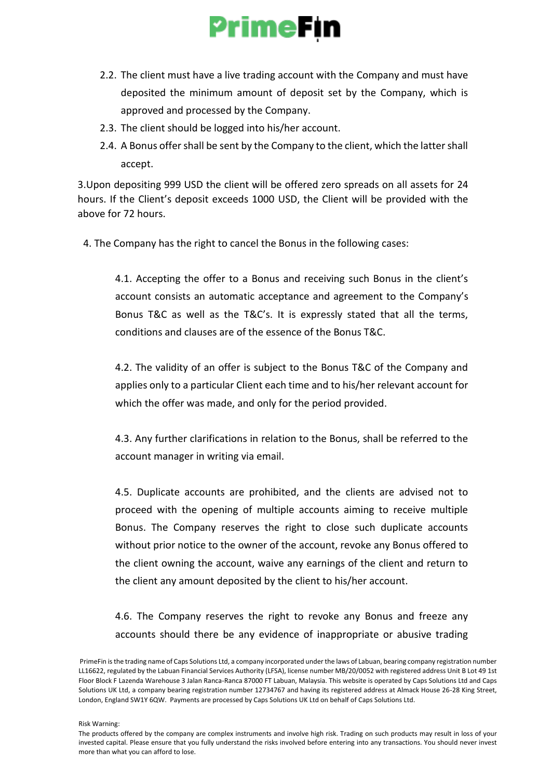## **PrimeFin**

- 2.2. The client must have a live trading account with the Company and must have deposited the minimum amount of deposit set by the Company, which is approved and processed by the Company.
- 2.3. The client should be logged into his/her account.
- 2.4. A Bonus offer shall be sent by the Company to the client, which the latter shall accept.

3.Upon depositing 999 USD the client will be offered zero spreads on all assets for 24 hours. If the Client's deposit exceeds 1000 USD, the Client will be provided with the above for 72 hours.

4. The Company has the right to cancel the Bonus in the following cases:

4.1. Accepting the offer to a Bonus and receiving such Bonus in the client's account consists an automatic acceptance and agreement to the Company's Bonus T&C as well as the T&C's. It is expressly stated that all the terms, conditions and clauses are of the essence of the Bonus T&C.

4.2. The validity of an offer is subject to the Bonus T&C of the Company and applies only to a particular Client each time and to his/her relevant account for which the offer was made, and only for the period provided.

4.3. Any further clarifications in relation to the Bonus, shall be referred to the account manager in writing via email.

4.5. Duplicate accounts are prohibited, and the clients are advised not to proceed with the opening of multiple accounts aiming to receive multiple Bonus. The Company reserves the right to close such duplicate accounts without prior notice to the owner of the account, revoke any Bonus offered to the client owning the account, waive any earnings of the client and return to the client any amount deposited by the client to his/her account.

4.6. The Company reserves the right to revoke any Bonus and freeze any accounts should there be any evidence of inappropriate or abusive trading

Risk Warning:

PrimeFin is the trading name of Caps Solutions Ltd, a company incorporated under the laws of Labuan, bearing company registration number LL16622, regulated by the Labuan Financial Services Authority (LFSA), license number MB/20/0052 with registered address Unit B Lot 49 1st Floor Block F Lazenda Warehouse 3 Jalan Ranca-Ranca 87000 FT Labuan, Malaysia. This website is operated by Caps Solutions Ltd and Caps Solutions UK Ltd, a company bearing registration number 12734767 and having its registered address at Almack House 26-28 King Street, London, England SW1Y 6QW. Payments are processed by Caps Solutions UK Ltd on behalf of Caps Solutions Ltd.

The products offered by the company are complex instruments and involve high risk. Trading on such products may result in loss of your invested capital. Please ensure that you fully understand the risks involved before entering into any transactions. You should never invest more than what you can afford to lose.